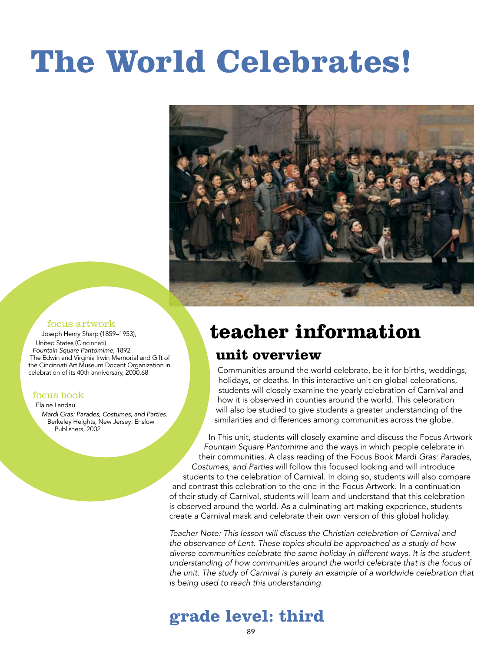# **The World Celebrates!**



#### focus artwork

Joseph Henry Sharp (1859–1953), United States (Cincinnati) *Fountain Square Pantomime*, 1892 The Edwin and Virginia Irwin Memorial and Gift of the Cincinnati Art Museum Docent Organization in celebration of its 40th anniversary, 2000.68

focus book

#### Elaine Landau

*Mardi Gras: Parades, Costumes, and Parties*. Berkeley Heights, New Jersey: Enslow Publishers, 2002

### **teacher information**

#### **unit overview**

Communities around the world celebrate, be it for births, weddings, holidays, or deaths. In this interactive unit on global celebrations, students will closely examine the yearly celebration of Carnival and how it is observed in counties around the world. This celebration will also be studied to give students a greater understanding of the similarities and differences among communities across the globe.

In This unit, students will closely examine and discuss the Focus Artwork *Fountain Square Pantomime* and the ways in which people celebrate in their communities. A class reading of the Focus Book Mardi *Gras: Parades, Costumes, and Parties* will follow this focused looking and will introduce students to the celebration of Carnival. In doing so, students will also compare and contrast this celebration to the one in the Focus Artwork. In a continuation of their study of Carnival, students will learn and understand that this celebration is observed around the world. As a culminating art-making experience, students create a Carnival mask and celebrate their own version of this global holiday.

*Teacher Note: This lesson will discuss the Christian celebration of Carnival and the observance of Lent. These topics should be approached as a study of how diverse communities celebrate the same holiday in different ways. It is the student understanding of how communities around the world celebrate that is the focus of the unit. The study of Carnival is purely an example of a worldwide celebration that is being used to reach this understanding.*

#### **grade level: third**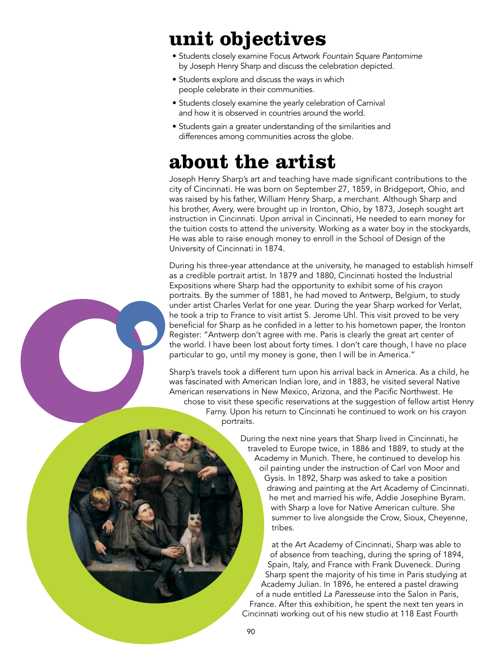### **unit objectives**

- Students closely examine Focus Artwork *Fountain Square Pantomime* by Joseph Henry Sharp and discuss the celebration depicted.
- Students explore and discuss the ways in which people celebrate in their communities.
- Students closely examine the yearly celebration of Carnival and how it is observed in countries around the world.
- Students gain a greater understanding of the similarities and differences among communities across the globe.

### **about the artist**

Joseph Henry Sharp's art and teaching have made significant contributions to the city of Cincinnati. He was born on September 27, 1859, in Bridgeport, Ohio, and was raised by his father, William Henry Sharp, a merchant. Although Sharp and his brother, Avery, were brought up in Ironton, Ohio, by 1873, Joseph sought art instruction in Cincinnati. Upon arrival in Cincinnati, He needed to earn money for the tuition costs to attend the university. Working as a water boy in the stockyards, He was able to raise enough money to enroll in the School of Design of the University of Cincinnati in 1874.

During his three-year attendance at the university, he managed to establish himself as a credible portrait artist. In 1879 and 1880, Cincinnati hosted the Industrial Expositions where Sharp had the opportunity to exhibit some of his crayon portraits. By the summer of 1881, he had moved to Antwerp, Belgium, to study under artist Charles Verlat for one year. During the year Sharp worked for Verlat, he took a trip to France to visit artist S. Jerome Uhl. This visit proved to be very beneficial for Sharp as he confided in a letter to his hometown paper, the Ironton Register: "Antwerp don't agree with me. Paris is clearly the great art center of the world. I have been lost about forty times. I don't care though, I have no place particular to go, until my money is gone, then I will be in America."

Sharp's travels took a different turn upon his arrival back in America. As a child, he was fascinated with American Indian lore, and in 1883, he visited several Native American reservations in New Mexico, Arizona, and the Pacific Northwest. He chose to visit these specific reservations at the suggestion of fellow artist Henry Farny. Upon his return to Cincinnati he continued to work on his crayon portraits.

> During the next nine years that Sharp lived in Cincinnati, he traveled to Europe twice, in 1886 and 1889, to study at the Academy in Munich. There, he continued to develop his oil painting under the instruction of Carl von Moor and Gysis. In 1892, Sharp was asked to take a position drawing and painting at the Art Academy of Cincinnati. he met and married his wife, Addie Josephine Byram. with Sharp a love for Native American culture. She summer to live alongside the Crow, Sioux, Cheyenne, tribes.

> at the Art Academy of Cincinnati, Sharp was able to of absence from teaching, during the spring of 1894, Spain, Italy, and France with Frank Duveneck. During Sharp spent the majority of his time in Paris studying at Academy Julian. In 1896, he entered a pastel drawing of a nude entitled *La Paresseuse* into the Salon in Paris, France. After this exhibition, he spent the next ten years in Cincinnati working out of his new studio at 118 East Fourth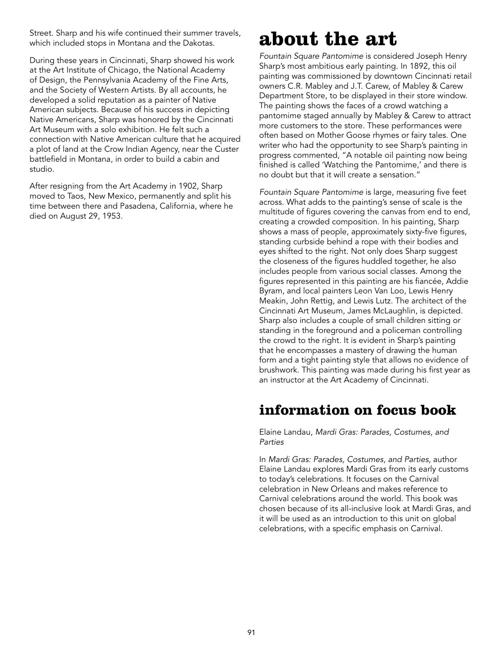Street. Sharp and his wife continued their summer travels, which included stops in Montana and the Dakotas.

During these years in Cincinnati, Sharp showed his work at the Art Institute of Chicago, the National Academy of Design, the Pennsylvania Academy of the Fine Arts, and the Society of Western Artists. By all accounts, he developed a solid reputation as a painter of Native American subjects. Because of his success in depicting Native Americans, Sharp was honored by the Cincinnati Art Museum with a solo exhibition. He felt such a connection with Native American culture that he acquired a plot of land at the Crow Indian Agency, near the Custer battlefield in Montana, in order to build a cabin and studio.

After resigning from the Art Academy in 1902, Sharp moved to Taos, New Mexico, permanently and split his time between there and Pasadena, California, where he died on August 29, 1953.

### **about the art**

*Fountain Square Pantomime* is considered Joseph Henry Sharp's most ambitious early painting. In 1892, this oil painting was commissioned by downtown Cincinnati retail owners C.R. Mabley and J.T. Carew, of Mabley & Carew Department Store, to be displayed in their store window. The painting shows the faces of a crowd watching a pantomime staged annually by Mabley & Carew to attract more customers to the store. These performances were often based on Mother Goose rhymes or fairy tales. One writer who had the opportunity to see Sharp's painting in progress commented, "A notable oil painting now being finished is called 'Watching the Pantomime,' and there is no doubt but that it will create a sensation."

*Fountain Square Pantomime* is large, measuring five feet across. What adds to the painting's sense of scale is the multitude of figures covering the canvas from end to end, creating a crowded composition. In his painting, Sharp shows a mass of people, approximately sixty-five figures, standing curbside behind a rope with their bodies and eyes shifted to the right. Not only does Sharp suggest the closeness of the figures huddled together, he also includes people from various social classes. Among the figures represented in this painting are his fiancée, Addie Byram, and local painters Leon Van Loo, Lewis Henry Meakin, John Rettig, and Lewis Lutz. The architect of the Cincinnati Art Museum, James McLaughlin, is depicted. Sharp also includes a couple of small children sitting or standing in the foreground and a policeman controlling the crowd to the right. It is evident in Sharp's painting that he encompasses a mastery of drawing the human form and a tight painting style that allows no evidence of brushwork. This painting was made during his first year as an instructor at the Art Academy of Cincinnati.

#### **information on focus book**

Elaine Landau, *Mardi Gras: Parades, Costumes, and Parties*

In *Mardi Gras: Parades, Costumes, and Parties,* author Elaine Landau explores Mardi Gras from its early customs to today's celebrations. It focuses on the Carnival celebration in New Orleans and makes reference to Carnival celebrations around the world. This book was chosen because of its all-inclusive look at Mardi Gras, and it will be used as an introduction to this unit on global celebrations, with a specific emphasis on Carnival.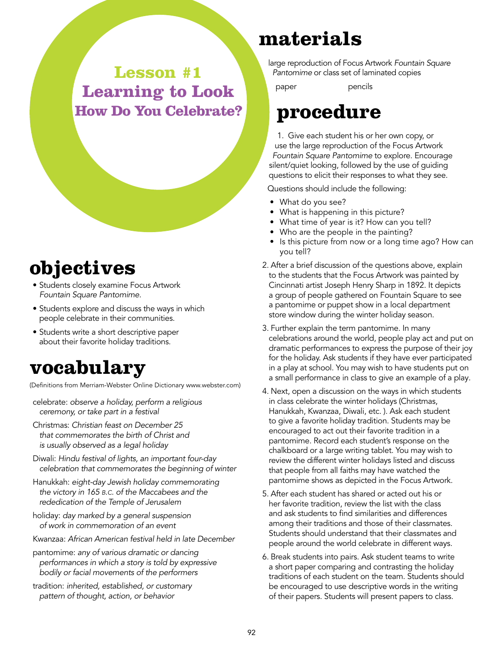**Lesson #1 Learning to Look How Do You Celebrate?**

### **objectives**

- Students closely examine Focus Artwork *Fountain Square Pantomime*.
- Students explore and discuss the ways in which people celebrate in their communities.
- Students write a short descriptive paper about their favorite holiday traditions.

### **vocabulary**

(Definitions from Merriam-Webster Online Dictionary www.webster.com)

- celebrate: *observe a holiday, perform a religious ceremony, or take part in a festival*
- Christmas: *Christian feast on December 25 that commemorates the birth of Christ and is usually observed as a legal holiday*
- Diwali: *Hindu festival of lights, an important four-day celebration that commemorates the beginning of winter*
- Hanukkah: *eight-day Jewish holiday commemorating the victory in 165 b.c. of the Maccabees and the rededication of the Temple of Jerusalem*
- holiday: *day marked by a general suspension of work in commemoration of an event*
- Kwanzaa: *African American festival held in late December*
- pantomime: *any of various dramatic or dancing performances in which a story is told by expressive bodily or facial movements of the performers*
- tradition: *inherited, established, or customary pattern of thought, action, or behavior*

### **materials**

large reproduction of Focus Artwork *Fountain Square Pantomime* or class set of laminated copies

paper pencils

### **procedure**

1. Give each student his or her own copy, or use the large reproduction of the Focus Artwork *Fountain Square Pantomime* to explore. Encourage silent/quiet looking, followed by the use of guiding questions to elicit their responses to what they see.

Questions should include the following:

- What do you see?
- What is happening in this picture?
- What time of year is it? How can you tell?
- Who are the people in the painting?
- Is this picture from now or a long time ago? How can you tell?
- 2. After a brief discussion of the questions above, explain to the students that the Focus Artwork was painted by Cincinnati artist Joseph Henry Sharp in 1892. It depicts a group of people gathered on Fountain Square to see a pantomime or puppet show in a local department store window during the winter holiday season.
- 3. Further explain the term pantomime. In many celebrations around the world, people play act and put on dramatic performances to express the purpose of their joy for the holiday. Ask students if they have ever participated in a play at school. You may wish to have students put on a small performance in class to give an example of a play*.*
- 4. Next, open a discussion on the ways in which students in class celebrate the winter holidays (Christmas, Hanukkah, Kwanzaa, Diwali, etc. ). Ask each student to give a favorite holiday tradition. Students may be encouraged to act out their favorite tradition in a pantomime. Record each student's response on the chalkboard or a large writing tablet. You may wish to review the different winter holidays listed and discuss that people from all faiths may have watched the pantomime shows as depicted in the Focus Artwork.
- 5. After each student has shared or acted out his or her favorite tradition, review the list with the class and ask students to find similarities and differences among their traditions and those of their classmates. Students should understand that their classmates and people around the world celebrate in different ways.
- 6. Break students into pairs. Ask student teams to write a short paper comparing and contrasting the holiday traditions of each student on the team. Students should be encouraged to use descriptive words in the writing of their papers. Students will present papers to class.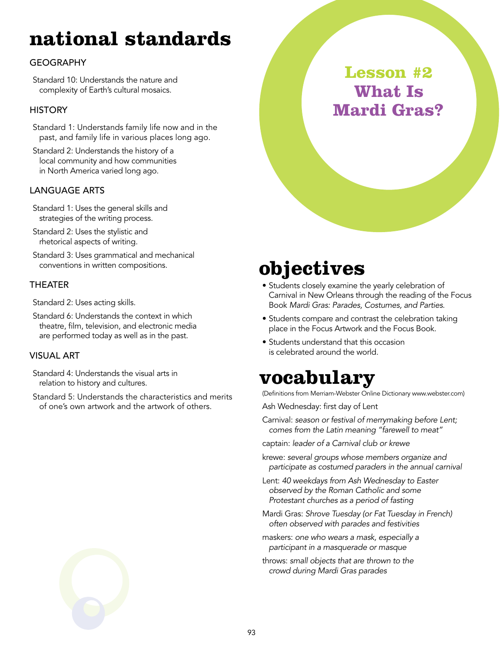### **national standards**

#### **GEOGRAPHY**

Standard 10: Understands the nature and complexity of Earth's cultural mosaics.

#### **HISTORY**

Standard 1: Understands family life now and in the past, and family life in various places long ago.

Standard 2: Understands the history of a local community and how communities in North America varied long ago.

#### Language Arts

Standard 1: Uses the general skills and strategies of the writing process.

Standard 2: Uses the stylistic and rhetorical aspects of writing.

Standard 3: Uses grammatical and mechanical conventions in written compositions.

#### **THEATER**

Standard 2: Uses acting skills.

Standard 6: Understands the context in which theatre, film, television, and electronic media are performed today as well as in the past.

#### Visual Art

Standard 4: Understands the visual arts in relation to history and cultures.

Standard 5: Understands the characteristics and merits of one's own artwork and the artwork of others.



### **objectives**

- Students closely examine the yearly celebration of Carnival in New Orleans through the reading of the Focus Book *Mardi Gras: Parades, Costumes, and Parties*.
- Students compare and contrast the celebration taking place in the Focus Artwork and the Focus Book.
- Students understand that this occasion is celebrated around the world.

### **vocabulary**

(Definitions from Merriam-Webster Online Dictionary www.webster.com)

Ash Wednesday: first day of Lent

Carnival: *season or festival of merrymaking before Lent; comes from the Latin meaning "farewell to meat"*

captain: *leader of a Carnival club or krewe*

- krewe: *several groups whose members organize and participate as costumed paraders in the annual carnival*
- Lent: *40 weekdays from Ash Wednesday to Easter observed by the Roman Catholic and some Protestant churches as a period of fasting*
- Mardi Gras: *Shrove Tuesday (or Fat Tuesday in French) often observed with parades and festivities*
- maskers: *one who wears a mask, especially a participant in a masquerade or masque*
- throws: *small objects that are thrown to the crowd during Mardi Gras parades*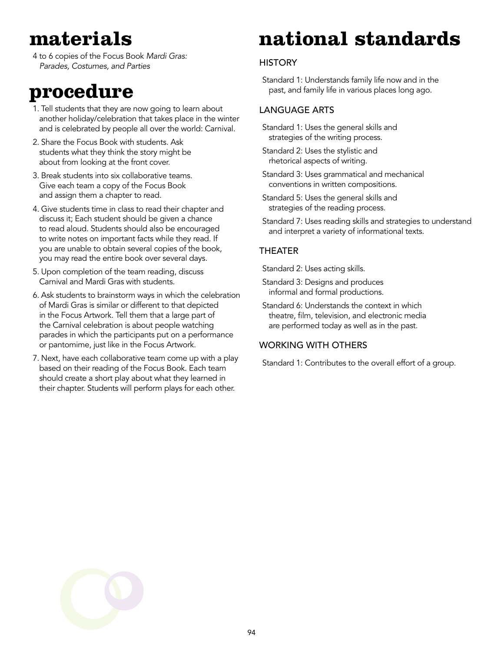### **materials**

4 to 6 copies of the Focus Book *Mardi Gras: Parades, Costumes, and Parties*

### **procedure**

- 1. Tell students that they are now going to learn about another holiday/celebration that takes place in the winter and is celebrated by people all over the world: Carnival.
- 2. Share the Focus Book with students. Ask students what they think the story might be about from looking at the front cover.
- 3. Break students into six collaborative teams. Give each team a copy of the Focus Book and assign them a chapter to read.
- 4. Give students time in class to read their chapter and discuss it; Each student should be given a chance to read aloud. Students should also be encouraged to write notes on important facts while they read. If you are unable to obtain several copies of the book, you may read the entire book over several days.
- 5. Upon completion of the team reading, discuss Carnival and Mardi Gras with students.
- 6. Ask students to brainstorm ways in which the celebration of Mardi Gras is similar or different to that depicted in the Focus Artwork. Tell them that a large part of the Carnival celebration is about people watching parades in which the participants put on a performance or pantomime, just like in the Focus Artwork.
- 7. Next, have each collaborative team come up with a play based on their reading of the Focus Book. Each team should create a short play about what they learned in their chapter. Students will perform plays for each other.

## **national standards**

#### **HISTORY**

Standard 1: Understands family life now and in the past, and family life in various places long ago.

#### Language Arts

Standard 1: Uses the general skills and strategies of the writing process.

Standard 2: Uses the stylistic and rhetorical aspects of writing.

- Standard 3: Uses grammatical and mechanical conventions in written compositions.
- Standard 5: Uses the general skills and strategies of the reading process.
- Standard 7: Uses reading skills and strategies to understand and interpret a variety of informational texts.

#### **THEATER**

Standard 2: Uses acting skills.

- Standard 3: Designs and produces informal and formal productions.
- Standard 6: Understands the context in which theatre, film, television, and electronic media are performed today as well as in the past.

#### Working With Others

Standard 1: Contributes to the overall effort of a group.



94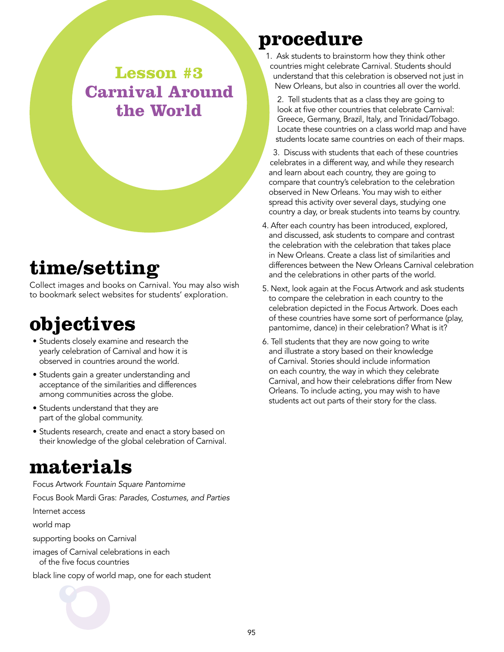**Lesson #3 Carnival Around the World**

### **time/setting**

Collect images and books on Carnival. You may also wish to bookmark select websites for students' exploration.

### **objectives**

- Students closely examine and research the yearly celebration of Carnival and how it is observed in countries around the world.
- Students gain a greater understanding and acceptance of the similarities and differences among communities across the globe.
- Students understand that they are part of the global community.
- Students research, create and enact a story based on their knowledge of the global celebration of Carnival.

### **materials**

Focus Artwork *Fountain Square Pantomime* Focus Book Mardi Gras: *Parades, Costumes, and Parties* Internet access world map

supporting books on Carnival

images of Carnival celebrations in each of the five focus countries

black line copy of world map, one for each student



### **procedure**

1. Ask students to brainstorm how they think other countries might celebrate Carnival. Students should understand that this celebration is observed not just in New Orleans, but also in countries all over the world.

2. Tell students that as a class they are going to look at five other countries that celebrate Carnival: Greece, Germany, Brazil, Italy, and Trinidad/Tobago. Locate these countries on a class world map and have students locate same countries on each of their maps.

3. Discuss with students that each of these countries celebrates in a different way, and while they research and learn about each country, they are going to compare that country's celebration to the celebration observed in New Orleans. You may wish to either spread this activity over several days, studying one country a day, or break students into teams by country.

- 4. After each country has been introduced, explored, and discussed, ask students to compare and contrast the celebration with the celebration that takes place in New Orleans. Create a class list of similarities and differences between the New Orleans Carnival celebration and the celebrations in other parts of the world.
- 5. Next, look again at the Focus Artwork and ask students to compare the celebration in each country to the celebration depicted in the Focus Artwork. Does each of these countries have some sort of performance (play, pantomime, dance) in their celebration? What is it?
- 6. Tell students that they are now going to write and illustrate a story based on their knowledge of Carnival. Stories should include information on each country, the way in which they celebrate Carnival, and how their celebrations differ from New Orleans. To include acting, you may wish to have students act out parts of their story for the class.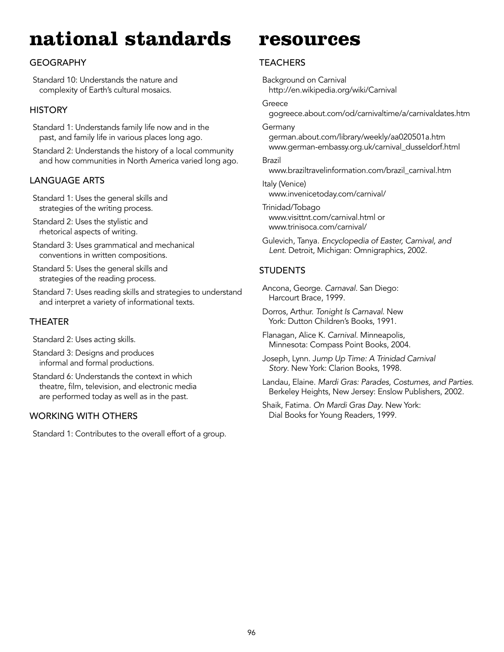### **national standards**

#### **GEOGRAPHY**

Standard 10: Understands the nature and complexity of Earth's cultural mosaics.

#### **HISTORY**

Standard 1: Understands family life now and in the past, and family life in various places long ago.

Standard 2: Understands the history of a local community and how communities in North America varied long ago.

#### Language Arts

Standard 1: Uses the general skills and strategies of the writing process.

Standard 2: Uses the stylistic and rhetorical aspects of writing.

Standard 3: Uses grammatical and mechanical conventions in written compositions.

Standard 5: Uses the general skills and strategies of the reading process.

Standard 7: Uses reading skills and strategies to understand and interpret a variety of informational texts.

#### **THEATER**

Standard 2: Uses acting skills.

Standard 3: Designs and produces informal and formal productions.

Standard 6: Understands the context in which theatre, film, television, and electronic media are performed today as well as in the past.

#### Working With Others

Standard 1: Contributes to the overall effort of a group.

#### **resources**

#### **TEACHERS**

Background on Carnival http://en.wikipedia.org/wiki/Carnival

#### Greece

gogreece.about.com/od/carnivaltime/a/carnivaldates.htm

Germany

german.about.com/library/weekly/aa020501a.htm www.german-embassy.org.uk/carnival\_dusseldorf.html

#### Brazil

www.braziltravelinformation.com/brazil\_carnival.htm

Italy (Venice) www.invenicetoday.com/carnival/

- Trinidad/Tobago www.visittnt.com/carnival.html or www.trinisoca.com/carnival/
- Gulevich, Tanya. *Encyclopedia of Easter, Carnival, and Lent*. Detroit, Michigan: Omnigraphics, 2002.

#### **STUDENTS**

Ancona, George. *Carnaval.* San Diego: Harcourt Brace, 1999.

Dorros, Arthur. *Tonight Is Carnaval*. New York: Dutton Children's Books, 1991.

Flanagan, Alice K. *Carnival*. Minneapolis, Minnesota: Compass Point Books, 2004.

Joseph, Lynn. J*ump Up Time: A Trinidad Carnival Story*. New York: Clarion Books, 1998.

Landau, Elaine. *Mardi Gras: Parades, Costumes, and Parties*. Berkeley Heights, New Jersey: Enslow Publishers, 2002.

Shaik, Fatima. *On Mardi Gras Day*. New York: Dial Books for Young Readers, 1999.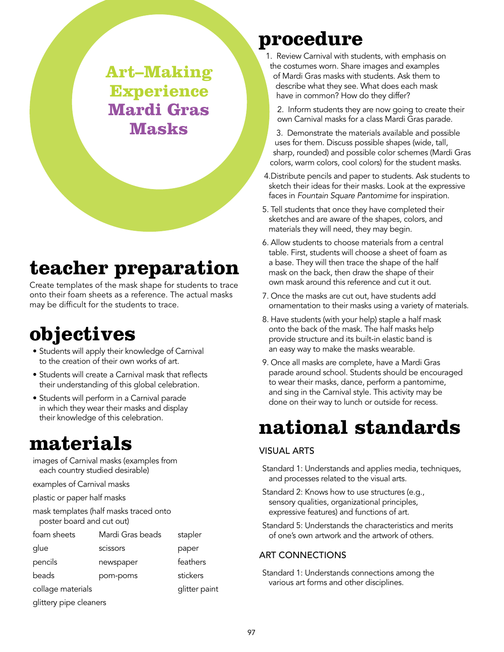**Art–Making Experience Mardi Gras Masks**

### **teacher preparation**

Create templates of the mask shape for students to trace onto their foam sheets as a reference. The actual masks may be difficult for the students to trace.

### **objectives**

- Students will apply their knowledge of Carnival to the creation of their own works of art.
- Students will create a Carnival mask that reflects their understanding of this global celebration.
- Students will perform in a Carnival parade in which they wear their masks and display their knowledge of this celebration.

### **materials**

images of Carnival masks (examples from each country studied desirable) examples of Carnival masks plastic or paper half masks mask templates (half masks traced onto poster board and cut out) foam sheets Mardi Gras beads stapler glue scissors paper pencils newspaper feathers beads pom-poms stickers collage materials and the set of the paint glittery pipe cleaners

### **procedure**

1. Review Carnival with students, with emphasis on the costumes worn. Share images and examples of Mardi Gras masks with students. Ask them to describe what they see. What does each mask have in common? How do they differ?

2. Inform students they are now going to create their own Carnival masks for a class Mardi Gras parade.

3. Demonstrate the materials available and possible uses for them. Discuss possible shapes (wide, tall, sharp, rounded) and possible color schemes (Mardi Gras colors, warm colors, cool colors) for the student masks.

4.Distribute pencils and paper to students. Ask students to sketch their ideas for their masks. Look at the expressive faces in *Fountain Square Pantomime* for inspiration.

- 5. Tell students that once they have completed their sketches and are aware of the shapes, colors, and materials they will need, they may begin.
- 6. Allow students to choose materials from a central table. First, students will choose a sheet of foam as a base. They will then trace the shape of the half mask on the back, then draw the shape of their own mask around this reference and cut it out.
- 7. Once the masks are cut out, have students add ornamentation to their masks using a variety of materials.
- 8. Have students (with your help) staple a half mask onto the back of the mask. The half masks help provide structure and its built-in elastic band is an easy way to make the masks wearable.
- 9. Once all masks are complete, have a Mardi Gras parade around school. Students should be encouraged to wear their masks, dance, perform a pantomime, and sing in the Carnival style. This activity may be done on their way to lunch or outside for recess.

### **national standards**

#### Visual Arts

- Standard 1: Understands and applies media, techniques, and processes related to the visual arts.
- Standard 2: Knows how to use structures (e.g., sensory qualities, organizational principles, expressive features) and functions of art.
- Standard 5: Understands the characteristics and merits of one's own artwork and the artwork of others.

#### Art Connections

Standard 1: Understands connections among the various art forms and other disciplines.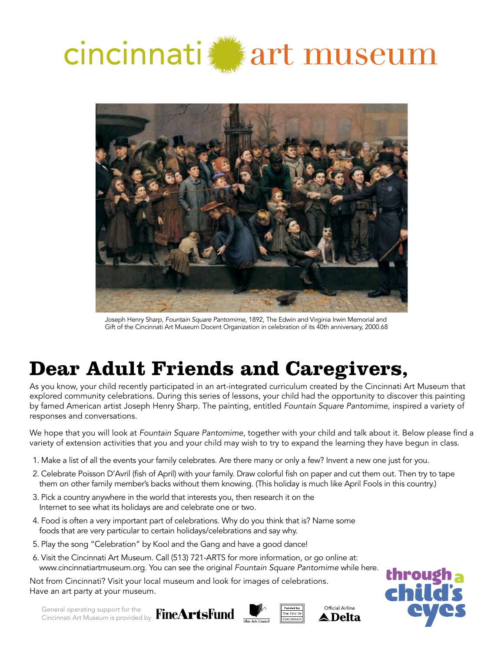

# cincinnati art museum



Joseph Henry Sharp, *Fountain Square Pantomime,* 1892, The Edwin and Virginia Irwin Memorial and Gift of the Cincinnati Art Museum Docent Organization in celebration of its 40th anniversary, 2000.68

### **Dear Adult Friends and Caregivers,**

As you know, your child recently participated in an art-integrated curriculum created by the Cincinnati Art Museum that explored community celebrations. During this series of lessons, your child had the opportunity to discover this painting by famed American artist Joseph Henry Sharp. The painting, entitled *Fountain Square Pantomime*, inspired a variety of responses and conversations.

We hope that you will look at *Fountain Square Pantomime*, together with your child and talk about it. Below please find a variety of extension activities that you and your child may wish to try to expand the learning they have begun in class.

- 1. Make a list of all the events your family celebrates. Are there many or only a few? Invent a new one just for you.
- 2. Celebrate Poisson D'Avril (fish of April) with your family. Draw colorful fish on paper and cut them out. Then try to tape them on other family member's backs without them knowing. (This holiday is much like April Fools in this country.)
- 3. Pick a country anywhere in the world that interests you, then research it on the Internet to see what its holidays are and celebrate one or two.
- 4. Food is often a very important part of celebrations. Why do you think that is? Name some foods that are very particular to certain holidays/celebrations and say why.
- 5. Play the song "Celebration" by Kool and the Gang and have a good dance!
- 6. Visit the Cincinnati Art Museum. Call (513) 721-ARTS for more information, or go online at: www.cincinnatiartmuseum.org. You can see the original *Fountain Square Pantomime* while here.

Not from Cincinnati? Visit your local museum and look for images of celebrations. Have an art party at your museum.

General operating support for the Cincinnati Art Museum is provided by